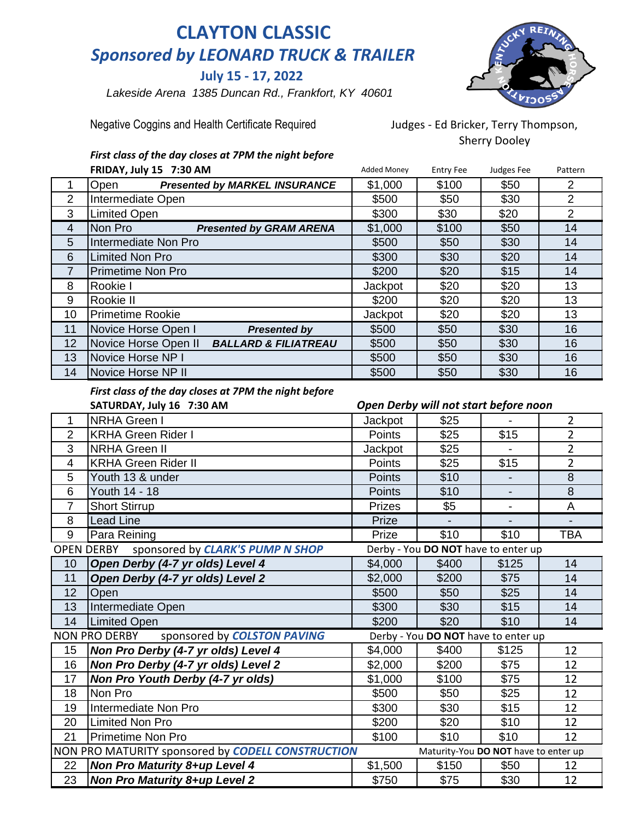## **CLAYTON CLASSIC** *Sponsored by LEONARD TRUCK & TRAILER*

 **July 15 - 17, 2022**

 *Lakeside Arena 1385 Duncan Rd., Frankfort, KY 40601*



Negative Coggins and Health Certificate Required Judges - Ed Bricker, Terry Thompson,

Sherry Dooley

*First class of the day closes at 7PM the night before*

|                | FRIDAY, July 15 7:30 AM                                 | <b>Added Money</b> | <b>Entry Fee</b> | Judges Fee | Pattern        |
|----------------|---------------------------------------------------------|--------------------|------------------|------------|----------------|
|                | <b>Presented by MARKEL INSURANCE</b><br>Open            | \$1,000            | \$100            | \$50       | 2              |
| $\overline{2}$ | Intermediate Open                                       | \$500              | \$50             | \$30       | 2              |
| 3              | Limited Open                                            | \$300              | \$30             | \$20       | $\overline{2}$ |
| 4              | Non Pro<br><b>Presented by GRAM ARENA</b>               | \$1,000            | \$100            | \$50       | 14             |
| 5              | Intermediate Non Pro                                    | \$500              | \$50             | \$30       | 14             |
| 6              | <b>Limited Non Pro</b>                                  | \$300              | \$30             | \$20       | 14             |
| 7              | Primetime Non Pro                                       | \$200              | \$20             | \$15       | 14             |
| 8              | Rookie I                                                | Jackpot            | \$20             | \$20       | 13             |
| 9              | Rookie II                                               | \$200              | \$20             | \$20       | 13             |
| 10             | <b>Primetime Rookie</b>                                 | Jackpot            | \$20             | \$20       | 13             |
| 11             | Novice Horse Open I<br><b>Presented by</b>              | \$500              | \$50             | \$30       | 16             |
| 12             | Novice Horse Open II<br><b>BALLARD &amp; FILIATREAU</b> | \$500              | \$50             | \$30       | 16             |
| 13             | Novice Horse NP I                                       | \$500              | \$50             | \$30       | 16             |
| 14             | Novice Horse NP II                                      | \$500              | \$50             | \$30       | 16             |

## *First class of the day closes at 7PM the night before*

|                                                                                           | SATURDAY, July 16 7:30 AM                             |               | Open Derby will not start before noon |                |                |
|-------------------------------------------------------------------------------------------|-------------------------------------------------------|---------------|---------------------------------------|----------------|----------------|
| 1                                                                                         | <b>NRHA Green I</b>                                   | Jackpot       | \$25                                  |                | $\overline{2}$ |
| $\overline{2}$                                                                            | <b>KRHA Green Rider I</b>                             | Points        | \$25                                  | \$15           | $\overline{2}$ |
| 3                                                                                         | <b>NRHA Green II</b>                                  | Jackpot       | \$25                                  |                | $\overline{2}$ |
| $\overline{4}$                                                                            | <b>KRHA Green Rider II</b>                            | Points        | \$25                                  | \$15           | $\overline{2}$ |
| 5                                                                                         | Youth 13 & under                                      | <b>Points</b> | \$10                                  |                | $\overline{8}$ |
| 6                                                                                         | Youth 14 - 18                                         | Points        | \$10                                  |                | 8              |
| $\overline{7}$                                                                            | <b>Short Stirrup</b>                                  | <b>Prizes</b> | \$5                                   | $\blacksquare$ | $\overline{A}$ |
| 8                                                                                         | <b>Lead Line</b>                                      | Prize         |                                       | $\blacksquare$ | $\blacksquare$ |
| 9                                                                                         | Para Reining                                          | Prize         | \$10                                  | \$10           | <b>TBA</b>     |
|                                                                                           | sponsored by CLARK'S PUMP N SHOP<br><b>OPEN DERBY</b> |               | Derby - You DO NOT have to enter up   |                |                |
| 10                                                                                        | Open Derby (4-7 yr olds) Level 4                      | \$4,000       | \$400                                 | \$125          | 14             |
| 11                                                                                        | Open Derby (4-7 yr olds) Level 2                      | \$2,000       | \$200                                 | \$75           | 14             |
| 12                                                                                        | Open                                                  | \$500         | \$50                                  | \$25           | 14             |
| 13                                                                                        | Intermediate Open                                     | \$300         | \$30                                  | \$15           | 14             |
| 14                                                                                        | <b>Limited Open</b>                                   | \$200         | \$20                                  | \$10           | 14             |
|                                                                                           | sponsored by <b>COLSTON PAVING</b><br>NON PRO DERBY   |               | Derby - You DO NOT have to enter up   |                |                |
| 15                                                                                        | Non Pro Derby (4-7 yr olds) Level 4                   | \$4,000       | \$400                                 | \$125          | 12             |
| 16                                                                                        | Non Pro Derby (4-7 yr olds) Level 2                   | \$2,000       | \$200                                 | \$75           | 12             |
| 17                                                                                        | Non Pro Youth Derby (4-7 yr olds)                     | \$1,000       | \$100                                 | \$75           | 12             |
| 18                                                                                        | Non Pro                                               | \$500         | \$50                                  | \$25           | 12             |
| 19                                                                                        | Intermediate Non Pro                                  | \$300         | \$30                                  | \$15           | 12             |
| 20                                                                                        | <b>Limited Non Pro</b>                                | \$200         | \$20                                  | \$10           | 12             |
| 21                                                                                        | Primetime Non Pro                                     | \$100         | \$10                                  | \$10           | 12             |
| NON PRO MATURITY sponsored by CODELL CONSTRUCTION<br>Maturity-You DO NOT have to enter up |                                                       |               |                                       |                |                |
| 22                                                                                        | <b>Non Pro Maturity 8+up Level 4</b>                  | \$1,500       | \$150                                 | \$50           | 12             |
| 23                                                                                        | <b>Non Pro Maturity 8+up Level 2</b>                  | \$750         | \$75                                  | \$30           | 12             |